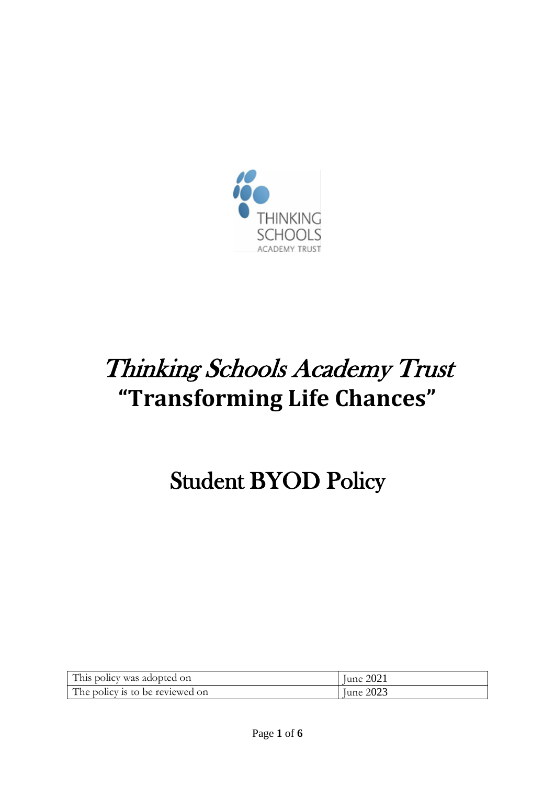

# Thinking Schools Academy Trust **"Transforming Life Chances"**

# Student BYOD Policy

| This policy was adopted on      | June 2021 |
|---------------------------------|-----------|
| The policy is to be reviewed on | June 2023 |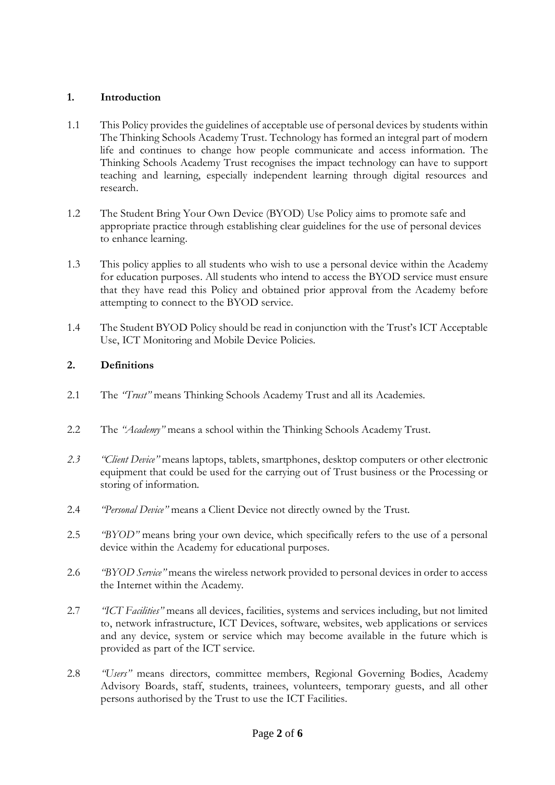## **1. Introduction**

- 1.1 This Policy provides the guidelines of acceptable use of personal devices by students within The Thinking Schools Academy Trust. Technology has formed an integral part of modern life and continues to change how people communicate and access information. The Thinking Schools Academy Trust recognises the impact technology can have to support teaching and learning, especially independent learning through digital resources and research.
- 1.2 The Student Bring Your Own Device (BYOD) Use Policy aims to promote safe and appropriate practice through establishing clear guidelines for the use of personal devices to enhance learning.
- 1.3 This policy applies to all students who wish to use a personal device within the Academy for education purposes. All students who intend to access the BYOD service must ensure that they have read this Policy and obtained prior approval from the Academy before attempting to connect to the BYOD service.
- 1.4 The Student BYOD Policy should be read in conjunction with the Trust's ICT Acceptable Use, ICT Monitoring and Mobile Device Policies.

## **2. Definitions**

- 2.1 The *"Trust"* means Thinking Schools Academy Trust and all its Academies.
- 2.2 The *"Academy"* means a school within the Thinking Schools Academy Trust.
- *2.3 "Client Device"* means laptops, tablets, smartphones, desktop computers or other electronic equipment that could be used for the carrying out of Trust business or the Processing or storing of information.
- 2.4 *"Personal Device"* means a Client Device not directly owned by the Trust.
- 2.5 *"BYOD"* means bring your own device, which specifically refers to the use of a personal device within the Academy for educational purposes.
- 2.6 *"BYOD Service"* means the wireless network provided to personal devices in order to access the Internet within the Academy.
- 2.7 *"ICT Facilities"* means all devices, facilities, systems and services including, but not limited to, network infrastructure, ICT Devices, software, websites, web applications or services and any device, system or service which may become available in the future which is provided as part of the ICT service.
- 2.8 *"Users"* means directors, committee members, Regional Governing Bodies, Academy Advisory Boards, staff, students, trainees, volunteers, temporary guests, and all other persons authorised by the Trust to use the ICT Facilities.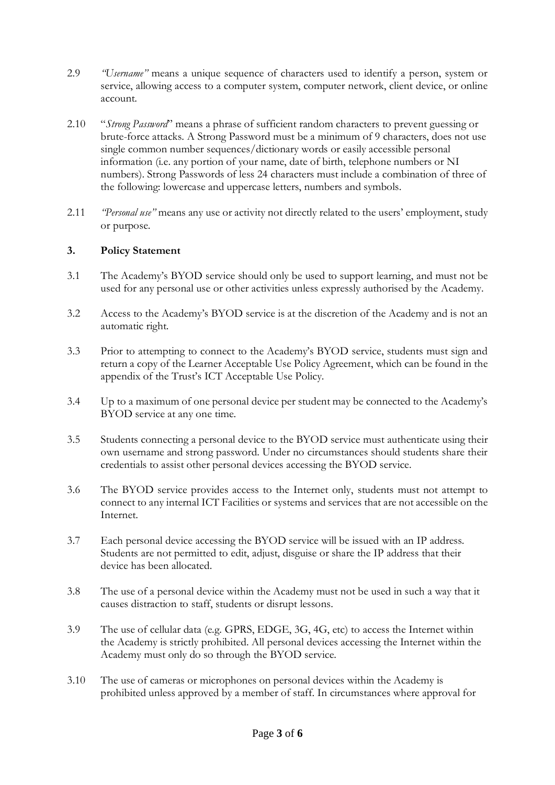- 2.9 *"Username"* means a unique sequence of characters used to identify a person, system or service, allowing access to a computer system, computer network, client device, or online account.
- 2.10 "*Strong Password*" means a phrase of sufficient random characters to prevent guessing or brute-force attacks. A Strong Password must be a minimum of 9 characters, does not use single common number sequences/dictionary words or easily accessible personal information (i.e. any portion of your name, date of birth, telephone numbers or NI numbers). Strong Passwords of less 24 characters must include a combination of three of the following: lowercase and uppercase letters, numbers and symbols.
- 2.11 *"Personal use"* means any use or activity not directly related to the users' employment, study or purpose.

### **3. Policy Statement**

- 3.1 The Academy's BYOD service should only be used to support learning, and must not be used for any personal use or other activities unless expressly authorised by the Academy.
- 3.2 Access to the Academy's BYOD service is at the discretion of the Academy and is not an automatic right.
- 3.3 Prior to attempting to connect to the Academy's BYOD service, students must sign and return a copy of the Learner Acceptable Use Policy Agreement, which can be found in the appendix of the Trust's ICT Acceptable Use Policy.
- 3.4 Up to a maximum of one personal device per student may be connected to the Academy's BYOD service at any one time.
- 3.5 Students connecting a personal device to the BYOD service must authenticate using their own username and strong password. Under no circumstances should students share their credentials to assist other personal devices accessing the BYOD service.
- 3.6 The BYOD service provides access to the Internet only, students must not attempt to connect to any internal ICT Facilities or systems and services that are not accessible on the Internet.
- 3.7 Each personal device accessing the BYOD service will be issued with an IP address. Students are not permitted to edit, adjust, disguise or share the IP address that their device has been allocated.
- 3.8 The use of a personal device within the Academy must not be used in such a way that it causes distraction to staff, students or disrupt lessons.
- 3.9 The use of cellular data (e.g. GPRS, EDGE, 3G, 4G, etc) to access the Internet within the Academy is strictly prohibited. All personal devices accessing the Internet within the Academy must only do so through the BYOD service.
- 3.10 The use of cameras or microphones on personal devices within the Academy is prohibited unless approved by a member of staff. In circumstances where approval for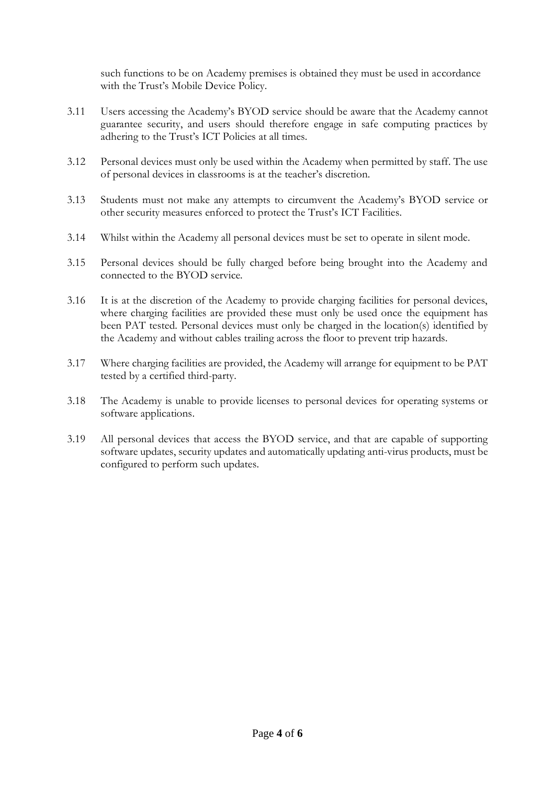such functions to be on Academy premises is obtained they must be used in accordance with the Trust's Mobile Device Policy.

- 3.11 Users accessing the Academy's BYOD service should be aware that the Academy cannot guarantee security, and users should therefore engage in safe computing practices by adhering to the Trust's ICT Policies at all times.
- 3.12 Personal devices must only be used within the Academy when permitted by staff. The use of personal devices in classrooms is at the teacher's discretion.
- 3.13 Students must not make any attempts to circumvent the Academy's BYOD service or other security measures enforced to protect the Trust's ICT Facilities.
- 3.14 Whilst within the Academy all personal devices must be set to operate in silent mode.
- 3.15 Personal devices should be fully charged before being brought into the Academy and connected to the BYOD service.
- 3.16 It is at the discretion of the Academy to provide charging facilities for personal devices, where charging facilities are provided these must only be used once the equipment has been PAT tested. Personal devices must only be charged in the location(s) identified by the Academy and without cables trailing across the floor to prevent trip hazards.
- 3.17 Where charging facilities are provided, the Academy will arrange for equipment to be PAT tested by a certified third-party.
- 3.18 The Academy is unable to provide licenses to personal devices for operating systems or software applications.
- 3.19 All personal devices that access the BYOD service, and that are capable of supporting software updates, security updates and automatically updating anti-virus products, must be configured to perform such updates.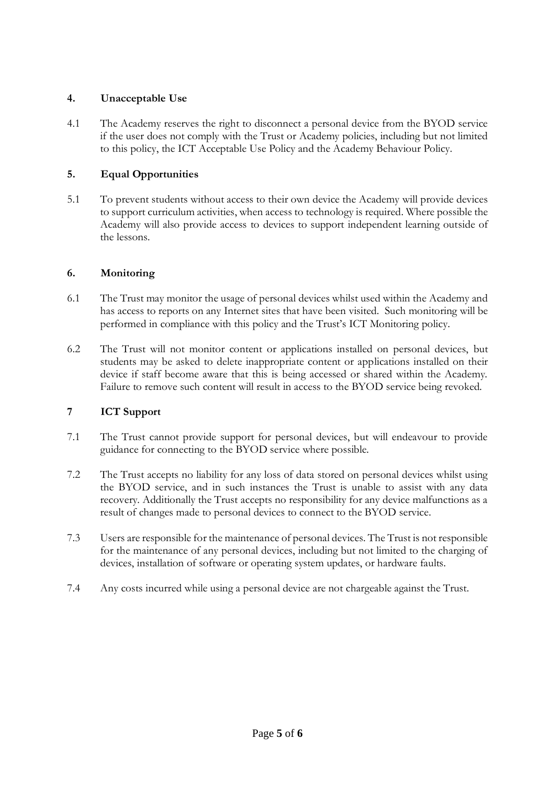## **4. Unacceptable Use**

4.1 The Academy reserves the right to disconnect a personal device from the BYOD service if the user does not comply with the Trust or Academy policies, including but not limited to this policy, the ICT Acceptable Use Policy and the Academy Behaviour Policy.

## **5. Equal Opportunities**

5.1 To prevent students without access to their own device the Academy will provide devices to support curriculum activities, when access to technology is required. Where possible the Academy will also provide access to devices to support independent learning outside of the lessons.

### **6. Monitoring**

- 6.1 The Trust may monitor the usage of personal devices whilst used within the Academy and has access to reports on any Internet sites that have been visited. Such monitoring will be performed in compliance with this policy and the Trust's ICT Monitoring policy.
- 6.2 The Trust will not monitor content or applications installed on personal devices, but students may be asked to delete inappropriate content or applications installed on their device if staff become aware that this is being accessed or shared within the Academy. Failure to remove such content will result in access to the BYOD service being revoked.

### **7 ICT Support**

- 7.1 The Trust cannot provide support for personal devices, but will endeavour to provide guidance for connecting to the BYOD service where possible.
- 7.2 The Trust accepts no liability for any loss of data stored on personal devices whilst using the BYOD service, and in such instances the Trust is unable to assist with any data recovery. Additionally the Trust accepts no responsibility for any device malfunctions as a result of changes made to personal devices to connect to the BYOD service.
- 7.3 Users are responsible for the maintenance of personal devices. The Trust is not responsible for the maintenance of any personal devices, including but not limited to the charging of devices, installation of software or operating system updates, or hardware faults.
- 7.4 Any costs incurred while using a personal device are not chargeable against the Trust.